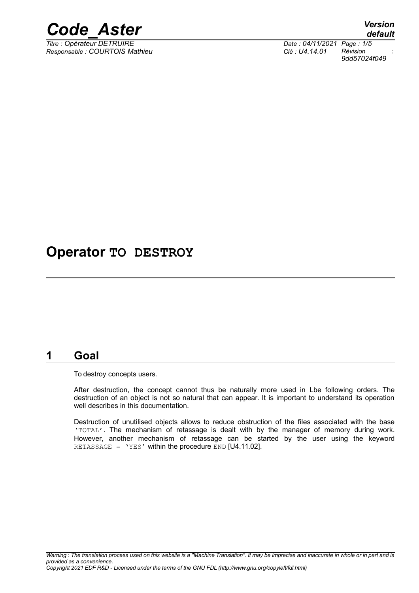

*Responsable : COURTOIS Mathieu Clé : U4.14.01 Révision :*

## **Operator TO DESTROY**

#### **1 Goal**

To destroy concepts users.

After destruction, the concept cannot thus be naturally more used in Lbe following orders. The destruction of an object is not so natural that can appear. It is important to understand its operation well describes in this documentation.

Destruction of unutilised objects allows to reduce obstruction of the files associated with the base 'TOTAL'. The mechanism of retassage is dealt with by the manager of memory during work. However, another mechanism of retassage can be started by the user using the keyword RETASSAGE =  $'YES'$  within the procedure END [U4.11.02].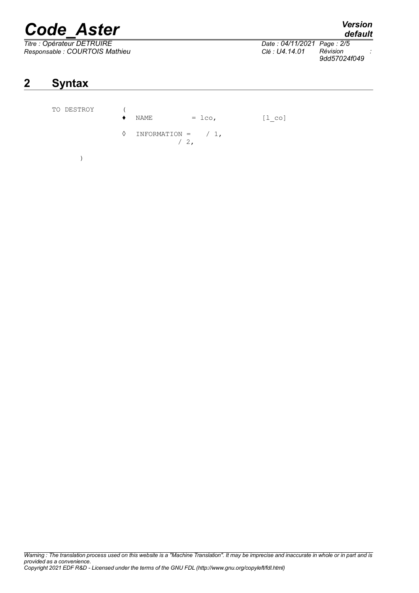# *Code\_Aster Version*

*Responsable : COURTOIS Mathieu Clé : U4.14.01 Révision :*

# **2 Syntax**

| TO DESTROY | NAME                          | $=$ 1co,      | $[1 \text{ co}]$ |
|------------|-------------------------------|---------------|------------------|
|            | $\Diamond$ INFORMATION = / 1, | $\frac{1}{2}$ |                  |
|            |                               |               |                  |

### *Thate : 04/11/2021 Page : 2/5*<br>*Clé : U4.14.01 Révision 9dd57024f049*

*default*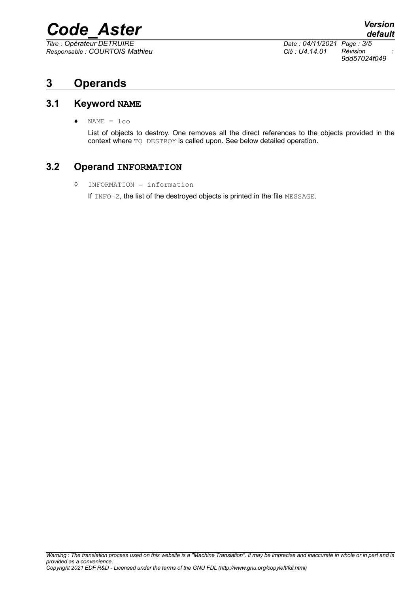# *Code\_Aster Version*

*Responsable : COURTOIS Mathieu Clé : U4.14.01 Révision :*

*Titre : Opérateur DETRUIRE Date : 04/11/2021 Page : 3/5 9dd57024f049*

### **3 Operands**

#### **3.1 Keyword NAME**

 $\triangleleft$  NAME =  $lco$ 

List of objects to destroy. One removes all the direct references to the objects provided in the context where TO DESTROY is called upon. See below detailed operation.

#### **3.2 Operand INFORMATION**

◊ INFORMATION = information

If INFO=2, the list of the destroyed objects is printed in the file MESSAGE.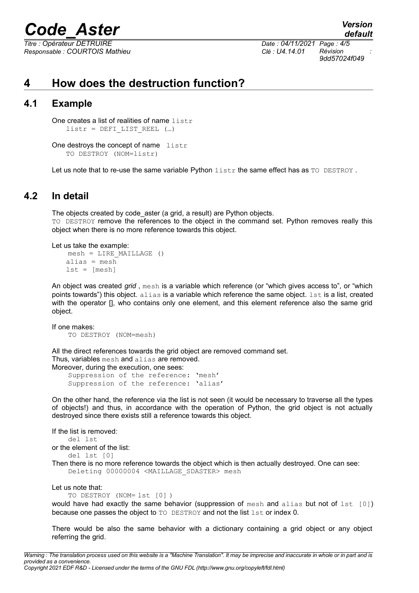# *Code\_Aster Version*

*Responsable : COURTOIS Mathieu Clé : U4.14.01 Révision :*

*Titre : Opérateur DETRUIRE Date : 04/11/2021 Page : 4/5*

*9dd57024f049*

*default*

## **4 How does the destruction function?**

#### **4.1 Example**

One creates a list of realities of name listr  $listr = DET LIST REEL$  (...)

One destroys the concept of name listr TO DESTROY (NOM=listr)

Let us note that to re-use the same variable Python  $listr$  the same effect has as  $TQ$  DESTROY.

#### **4.2 In detail**

The objects created by code aster (a grid, a result) are Python objects. TO DESTROY remove the references to the object in the command set. Python removes really this object when there is no more reference towards this object.

Let us take the example:

```
mesh = LIRE_MAILLAGE ()
alias = mesh
lst = [mesh]
```
An object was created *grid* , mesh is a variable which reference (or "which gives access to", or "which points towards") this object. alias is a variable which reference the same object.  $1st$  is a list, created with the operator [], who contains only one element, and this element reference also the same grid object.

If one makes:

TO DESTROY (NOM=mesh)

All the direct references towards the grid object are removed command set.

Thus, variables mesh and alias are removed.

Moreover, during the execution, one sees: Suppression of the reference: 'mesh' Suppression of the reference: 'alias'

On the other hand, the reference via the list is not seen (it would be necessary to traverse all the types of objects!) and thus, in accordance with the operation of Python, the grid object is not actually destroyed since there exists still a reference towards this object.

```
If the list is removed:
    del lst
or the element of the list:
    del lst [0]
Then there is no more reference towards the object which is then actually destroyed. One can see:
    Deleting 00000004 <MAILLAGE_SDASTER> mesh
```
Let us note that:

TO DESTROY (NOM= lst [0] )

would have had exactly the same behavior (suppression of mesh and alias but not of  $1st [0]$ ) because one passes the object to TO DESTROY and not the list lst or index 0.

There would be also the same behavior with a dictionary containing a grid object or any object referring the grid.